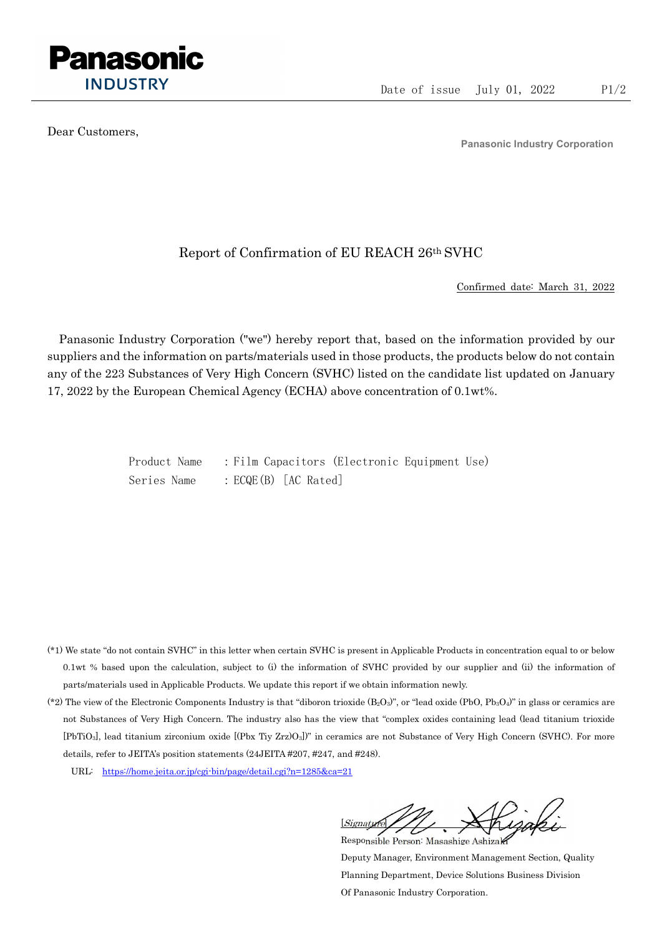

Dear Customers,

Panasonic Industry Corporation

## Report of Confirmation of EU REACH 26th SVHC

Confirmed date: March 31, 2022

Panasonic Industry Corporation ("we") hereby report that, based on the information provided by our suppliers and the information on parts/materials used in those products, the products below do not contain any of the 223 Substances of Very High Concern (SVHC) listed on the candidate list updated on January 17, 2022 by the European Chemical Agency (ECHA) above concentration of 0.1wt%.

> Product Name : Film Capacitors (Electronic Equipment Use) Series Name : ECQE(B) [AC Rated]

- (\*1) We state "do not contain SVHC" in this letter when certain SVHC is present in Applicable Products in concentration equal to or below 0.1wt % based upon the calculation, subject to (i) the information of SVHC provided by our supplier and (ii) the information of parts/materials used in Applicable Products. We update this report if we obtain information newly.
- (\*2) The view of the Electronic Components Industry is that "diboron trioxide  $(B_2O_3)$ ", or "lead oxide (PbO, Pb<sub>3</sub>O<sub>4</sub>)" in glass or ceramics are not Substances of Very High Concern. The industry also has the view that "complex oxides containing lead (lead titanium trioxide [PbTiO3], lead titanium zirconium oxide [(Pbx Tiy Zrz)O3])" in ceramics are not Substance of Very High Concern (SVHC). For more details, refer to JEITA's position statements (24JEITA #207, #247, and #248).
	- URL: https://home.jeita.or.jp/cgi-bin/page/detail.cgi?n=1285&ca=21

[Signature] Responsible Person: Masashige Ashizaki

Deputy Manager, Environment Management Section, Quality Planning Department, Device Solutions Business Division Of Panasonic Industry Corporation.